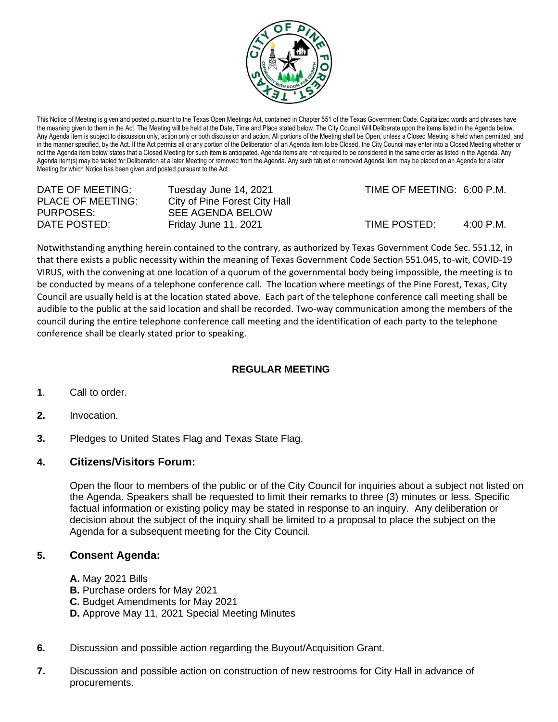

This Notice of Meeting is given and posted pursuant to the Texas Open Meetings Act, contained in Chapter 551 of the Texas Government Code. Capitalized words and phrases have the meaning given to them in the Act. The Meeting will be held at the Date, Time and Place stated below. The City Council Will Deliberate upon the items listed in the Agenda below. Any Agenda item is subject to discussion only, action only or both discussion and action. All portions of the Meeting shall be Open, unless a Closed Meeting is held when permitted, and in the manner specified, by the Act. If the Act permits all or any portion of the Deliberation of an Agenda item to be Closed, the City Council may enter into a Closed Meeting whether or not the Agenda item below states that a Closed Meeting for such item is anticipated. Agenda items are not required to be considered in the same order as listed in the Agenda. Any Agenda item(s) may be tabled for Deliberation at a later Meeting or removed from the Agenda. Any such tabled or removed Agenda item may be placed on an Agenda for a later Meeting for which Notice has been given and posted pursuant to the Act

| DATE OF MEETING:         | Tuesday June 14, 2021         | TIME OF MEETING: 6:00 P.M. |           |
|--------------------------|-------------------------------|----------------------------|-----------|
| <b>PLACE OF MEETING:</b> | City of Pine Forest City Hall |                            |           |
| PURPOSES:                | SEE AGENDA BELOW              |                            |           |
| DATE POSTED:             | Friday June 11, 2021          | TIME POSTED:               | 4:00 P.M. |

Notwithstanding anything herein contained to the contrary, as authorized by Texas Government Code Sec. 551.12, in that there exists a public necessity within the meaning of Texas Government Code Section 551.045, to-wit, COVID-19 VIRUS, with the convening at one location of a quorum of the governmental body being impossible, the meeting is to be conducted by means of a telephone conference call. The location where meetings of the Pine Forest, Texas, City Council are usually held is at the location stated above. Each part of the telephone conference call meeting shall be audible to the public at the said location and shall be recorded. Two-way communication among the members of the council during the entire telephone conference call meeting and the identification of each party to the telephone conference shall be clearly stated prior to speaking.

## **REGULAR MEETING**

- **1**. Call to order.
- **2.** Invocation.
- **3.** Pledges to United States Flag and Texas State Flag.

## **4. Citizens/Visitors Forum:**

Open the floor to members of the public or of the City Council for inquiries about a subject not listed on the Agenda. Speakers shall be requested to limit their remarks to three (3) minutes or less. Specific factual information or existing policy may be stated in response to an inquiry. Any deliberation or decision about the subject of the inquiry shall be limited to a proposal to place the subject on the Agenda for a subsequent meeting for the City Council.

## **5. Consent Agenda:**

- **A.** May 2021 Bills
- **B.** Purchase orders for May 2021
- **C.** Budget Amendments for May 2021
- **D.** Approve May 11, 2021 Special Meeting Minutes
- **6.** Discussion and possible action regarding the Buyout/Acquisition Grant.
- **7.** Discussion and possible action on construction of new restrooms for City Hall in advance of procurements.